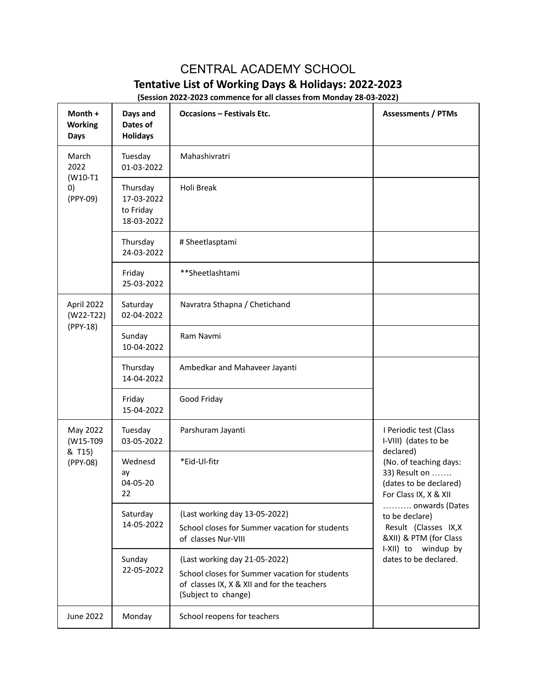## CENTRAL ACADEMY SCHOOL **Tentative List of Working Days & Holidays: 2022-2023**

**(Session 2022-2023 commence for all classes from Monday 28-03-2022)**

| Month +<br><b>Working</b><br><b>Days</b>   | Days and<br>Dates of<br><b>Holidays</b>           | <b>Occasions - Festivals Etc.</b>                                                                                                                     | <b>Assessments / PTMs</b>                                                                                                                                                                                                                                                                       |
|--------------------------------------------|---------------------------------------------------|-------------------------------------------------------------------------------------------------------------------------------------------------------|-------------------------------------------------------------------------------------------------------------------------------------------------------------------------------------------------------------------------------------------------------------------------------------------------|
| March<br>2022<br>(W10-T1<br>0)<br>(PPY-09) | Tuesday<br>01-03-2022                             | Mahashivratri                                                                                                                                         |                                                                                                                                                                                                                                                                                                 |
|                                            | Thursday<br>17-03-2022<br>to Friday<br>18-03-2022 | Holi Break                                                                                                                                            |                                                                                                                                                                                                                                                                                                 |
|                                            | Thursday<br>24-03-2022                            | # Sheetlasptami                                                                                                                                       |                                                                                                                                                                                                                                                                                                 |
|                                            | Friday<br>25-03-2022                              | **Sheetlashtami                                                                                                                                       |                                                                                                                                                                                                                                                                                                 |
| April 2022<br>$(W22-T22)$<br>(PPY-18)      | Saturday<br>02-04-2022                            | Navratra Sthapna / Chetichand                                                                                                                         |                                                                                                                                                                                                                                                                                                 |
|                                            | Sunday<br>10-04-2022                              | Ram Navmi                                                                                                                                             |                                                                                                                                                                                                                                                                                                 |
|                                            | Thursday<br>14-04-2022                            | Ambedkar and Mahaveer Jayanti                                                                                                                         |                                                                                                                                                                                                                                                                                                 |
|                                            | Friday<br>15-04-2022                              | Good Friday                                                                                                                                           |                                                                                                                                                                                                                                                                                                 |
| May 2022<br>(W15-T09<br>& T15)<br>(PPY-08) | Tuesday<br>03-05-2022                             | Parshuram Jayanti                                                                                                                                     | I Periodic test (Class<br>I-VIII) (dates to be<br>declared)<br>(No. of teaching days:<br>33) Result on<br>(dates to be declared)<br>For Class IX, X & XII<br>onwards (Dates<br>to be declare)<br>Result (Classes IX,X<br>&XII) & PTM (for Class<br>I-XII) to windup by<br>dates to be declared. |
|                                            | Wednesd<br>ay<br>04-05-20<br>22                   | *Eid-Ul-fitr                                                                                                                                          |                                                                                                                                                                                                                                                                                                 |
|                                            | Saturday<br>14-05-2022                            | (Last working day 13-05-2022)<br>School closes for Summer vacation for students<br>of classes Nur-VIII                                                |                                                                                                                                                                                                                                                                                                 |
|                                            | Sunday<br>22-05-2022                              | (Last working day 21-05-2022)<br>School closes for Summer vacation for students<br>of classes IX, X & XII and for the teachers<br>(Subject to change) |                                                                                                                                                                                                                                                                                                 |
| June 2022                                  | Monday                                            | School reopens for teachers                                                                                                                           |                                                                                                                                                                                                                                                                                                 |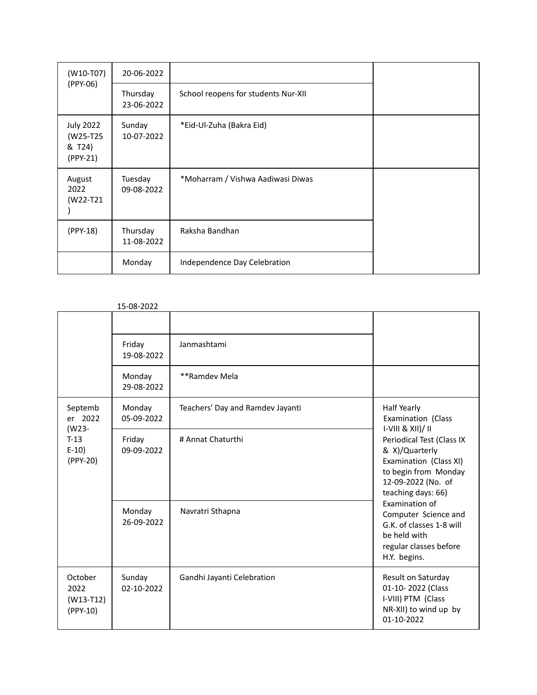| $(W10-T07)$                                        | 20-06-2022             |                                     |  |
|----------------------------------------------------|------------------------|-------------------------------------|--|
| (PPY-06)                                           | Thursday<br>23-06-2022 | School reopens for students Nur-XII |  |
| <b>July 2022</b><br>(W25-T25<br>& T24)<br>(PPY-21) | Sunday<br>10-07-2022   | *Eid-Ul-Zuha (Bakra Eid)            |  |
| August<br>2022<br>(W22-T21                         | Tuesday<br>09-08-2022  | *Moharram / Vishwa Aadiwasi Diwas   |  |
| (PPY-18)                                           | Thursday<br>11-08-2022 | Raksha Bandhan                      |  |
|                                                    | Monday                 | Independence Day Celebration        |  |

15-08-2022

|                                                             | Friday<br>19-08-2022<br>Monday<br>29-08-2022 | Janmashtami<br>**Ramdev Mela     |                                                                                                                                                                                                                                                                                                                                       |
|-------------------------------------------------------------|----------------------------------------------|----------------------------------|---------------------------------------------------------------------------------------------------------------------------------------------------------------------------------------------------------------------------------------------------------------------------------------------------------------------------------------|
| Septemb<br>er 2022<br>(W23-<br>$T-13$<br>$E-10$<br>(PPY-20) | Monday<br>05-09-2022                         | Teachers' Day and Ramdev Jayanti | Half Yearly<br>Examination (Class<br>$I-VIII & XIII)/II$<br>Periodical Test (Class IX<br>& X)/Quarterly<br>Examination (Class XI)<br>to begin from Monday<br>12-09-2022 (No. of<br>teaching days: 66)<br>Examination of<br>Computer Science and<br>G.K. of classes 1-8 will<br>be held with<br>regular classes before<br>H.Y. begins. |
|                                                             | Friday<br>09-09-2022                         | # Annat Chaturthi                |                                                                                                                                                                                                                                                                                                                                       |
|                                                             | Monday<br>26-09-2022                         | Navratri Sthapna                 |                                                                                                                                                                                                                                                                                                                                       |
| October<br>2022<br>$(W13-T12)$<br>(PPY-10)                  | Sunday<br>02-10-2022                         | Gandhi Jayanti Celebration       | Result on Saturday<br>01-10-2022 (Class<br>I-VIII) PTM (Class<br>NR-XII) to wind up by<br>01-10-2022                                                                                                                                                                                                                                  |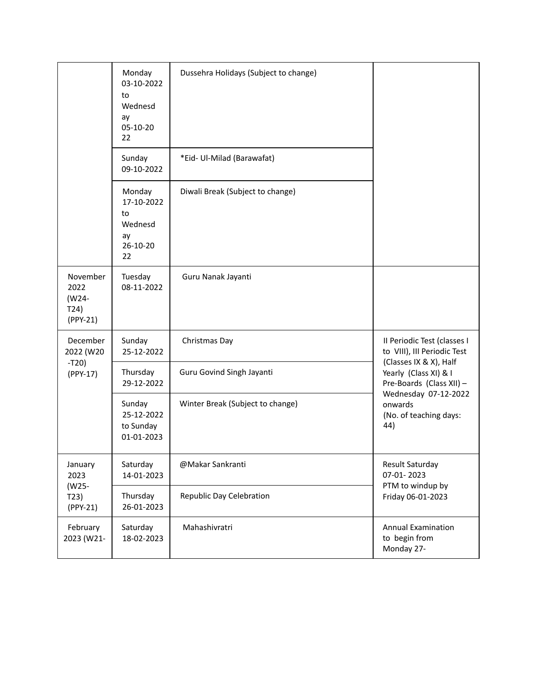|                                               | Monday<br>03-10-2022<br>to<br>Wednesd<br>ay<br>05-10-20<br>22 | Dussehra Holidays (Subject to change) |                                                                                                                                                                                                               |
|-----------------------------------------------|---------------------------------------------------------------|---------------------------------------|---------------------------------------------------------------------------------------------------------------------------------------------------------------------------------------------------------------|
|                                               | Sunday<br>09-10-2022                                          | *Eid- Ul-Milad (Barawafat)            |                                                                                                                                                                                                               |
|                                               | Monday<br>17-10-2022<br>to<br>Wednesd<br>ay<br>26-10-20<br>22 | Diwali Break (Subject to change)      |                                                                                                                                                                                                               |
| November<br>2022<br>(W24-<br>T24)<br>(PPY-21) | Tuesday<br>08-11-2022                                         | Guru Nanak Jayanti                    |                                                                                                                                                                                                               |
| December<br>2022 (W20<br>$-T20)$<br>(PPY-17)  | Sunday<br>25-12-2022                                          | Christmas Day                         | Il Periodic Test (classes I<br>to VIII), III Periodic Test<br>(Classes IX & X), Half<br>Yearly (Class XI) & I<br>Pre-Boards (Class XII) -<br>Wednesday 07-12-2022<br>onwards<br>(No. of teaching days:<br>44) |
|                                               | Thursday<br>29-12-2022                                        | Guru Govind Singh Jayanti             |                                                                                                                                                                                                               |
|                                               | Sunday<br>25-12-2022<br>to Sunday<br>01-01-2023               | Winter Break (Subject to change)      |                                                                                                                                                                                                               |
| January<br>2023<br>(W25-<br>T23)<br>(PPY-21)  | Saturday<br>14-01-2023                                        | @Makar Sankranti                      | Result Saturday<br>07-01-2023<br>PTM to windup by<br>Friday 06-01-2023                                                                                                                                        |
|                                               | Thursday<br>26-01-2023                                        | Republic Day Celebration              |                                                                                                                                                                                                               |
| February<br>2023 (W21-                        | Saturday<br>18-02-2023                                        | Mahashivratri                         | <b>Annual Examination</b><br>to begin from<br>Monday 27-                                                                                                                                                      |